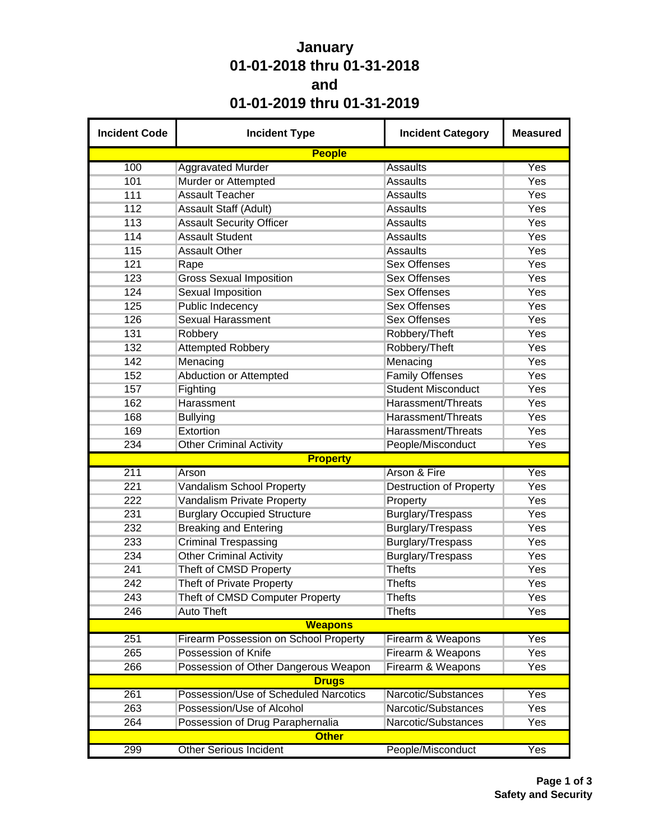## **January 01-01-2018 thru 01-31-2018 and 01-01-2019 thru 01-31-2019**

| <b>Incident Code</b> | <b>Incident Type</b>                  | <b>Incident Category</b>       | <b>Measured</b> |
|----------------------|---------------------------------------|--------------------------------|-----------------|
|                      | <b>People</b>                         |                                |                 |
| 100                  | <b>Aggravated Murder</b>              | <b>Assaults</b>                | Yes             |
| 101                  | Murder or Attempted                   | <b>Assaults</b>                | Yes             |
| 111                  | <b>Assault Teacher</b>                | <b>Assaults</b>                | Yes             |
| 112                  | <b>Assault Staff (Adult)</b>          | <b>Assaults</b>                | Yes             |
| 113                  | <b>Assault Security Officer</b>       | <b>Assaults</b>                | Yes             |
| 114                  | <b>Assault Student</b>                | <b>Assaults</b>                | Yes             |
| 115                  | <b>Assault Other</b>                  | <b>Assaults</b>                | Yes             |
| 121                  | Rape                                  | <b>Sex Offenses</b>            | Yes             |
| 123                  | <b>Gross Sexual Imposition</b>        | <b>Sex Offenses</b>            | Yes             |
| 124                  | <b>Sexual Imposition</b>              | <b>Sex Offenses</b>            | Yes             |
| 125                  | <b>Public Indecency</b>               | <b>Sex Offenses</b>            | Yes             |
| 126                  | <b>Sexual Harassment</b>              | <b>Sex Offenses</b>            | Yes             |
| 131                  | Robbery                               | Robbery/Theft                  | Yes             |
| 132                  | <b>Attempted Robbery</b>              | Robbery/Theft                  | Yes             |
| 142                  | Menacing                              | Menacing                       | Yes             |
| 152                  | <b>Abduction or Attempted</b>         | <b>Family Offenses</b>         | Yes             |
| 157                  | Fighting                              | <b>Student Misconduct</b>      | Yes             |
| 162                  | Harassment                            | Harassment/Threats             | Yes             |
| 168                  | <b>Bullying</b>                       | Harassment/Threats             | Yes             |
| 169                  | Extortion                             | Harassment/Threats             | Yes             |
| 234                  | <b>Other Criminal Activity</b>        | People/Misconduct              | Yes             |
|                      | <b>Property</b>                       |                                |                 |
| 211                  | Arson                                 | Arson & Fire                   | Yes             |
| 221                  | Vandalism School Property             | <b>Destruction of Property</b> | Yes             |
| 222                  | Vandalism Private Property            | Property                       | Yes             |
| 231                  | <b>Burglary Occupied Structure</b>    | Burglary/Trespass              | Yes             |
| 232                  | <b>Breaking and Entering</b>          | Burglary/Trespass              | Yes             |
| 233                  | <b>Criminal Trespassing</b>           | Burglary/Trespass              | Yes             |
| 234                  | <b>Other Criminal Activity</b>        | Burglary/Trespass              | Yes             |
| 241                  | Theft of CMSD Property                | <b>Thefts</b>                  | Yes             |
| 242                  | <b>Theft of Private Property</b>      | <b>Thefts</b>                  | Yes             |
| 243                  | Theft of CMSD Computer Property       | <b>Thefts</b>                  | Yes             |
| 246                  | <b>Auto Theft</b>                     | <b>Thefts</b>                  | Yes             |
|                      | <b>Weapons</b>                        |                                |                 |
| 251                  | Firearm Possession on School Property | Firearm & Weapons              | Yes             |
| 265                  | Possession of Knife                   | Firearm & Weapons              | Yes             |
| 266                  | Possession of Other Dangerous Weapon  | Firearm & Weapons              | Yes             |
|                      | <b>Drugs</b>                          |                                |                 |
| 261                  | Possession/Use of Scheduled Narcotics | Narcotic/Substances            | Yes             |
| 263                  | Possession/Use of Alcohol             | Narcotic/Substances            | Yes             |
| 264                  | Possession of Drug Paraphernalia      | Narcotic/Substances            | Yes             |
|                      | <b>Other</b>                          |                                |                 |
| 299                  | <b>Other Serious Incident</b>         | People/Misconduct              | Yes             |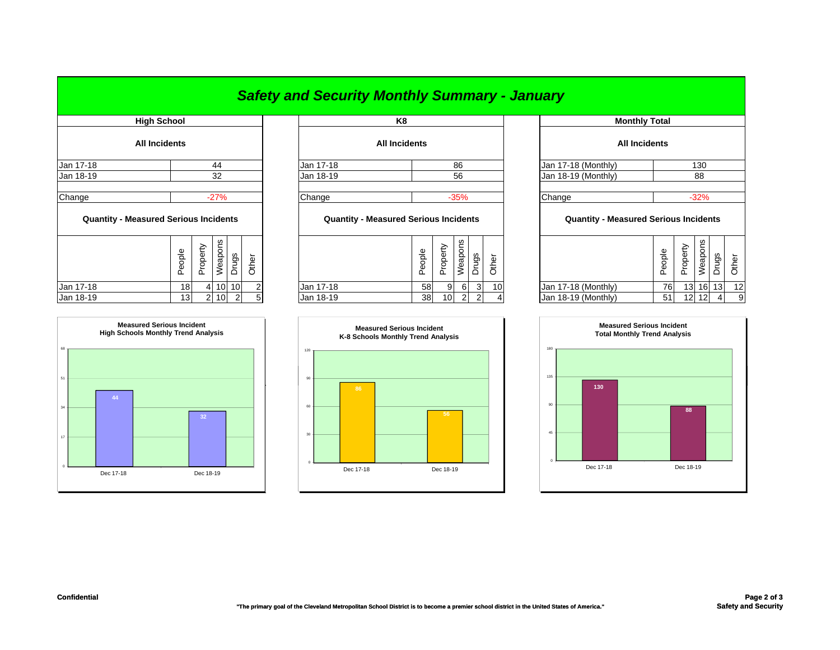## *Safety and Security Monthly Summary - January*

| <b>High School</b>                           |        |                |                 |                 |        |           | K8                                           |        |          |         |       |       |         |
|----------------------------------------------|--------|----------------|-----------------|-----------------|--------|-----------|----------------------------------------------|--------|----------|---------|-------|-------|---------|
| <b>All Incidents</b>                         |        |                |                 |                 |        |           | <b>All Incidents</b>                         |        |          |         |       |       |         |
| Jan 17-18                                    |        |                | 44              |                 |        | Jan 17-18 |                                              |        |          | 86      |       |       | Jan 17- |
| Jan 18-19                                    |        |                | 32              |                 |        | Jan 18-19 |                                              |        |          | 56      |       |       | Jan 18- |
| Change                                       | Change |                |                 |                 | $-35%$ |           |                                              | Change |          |         |       |       |         |
| <b>Quantity - Measured Serious Incidents</b> |        |                |                 |                 |        |           | <b>Quantity - Measured Serious Incidents</b> |        |          |         |       |       | Q       |
|                                              | People | Property       | Weapons         | Drugs           | Other  |           |                                              | People | Property | Weapons | Drugs | Other |         |
| Jan 17-18                                    | 18     | $\overline{4}$ | 10 <sup>1</sup> | 10 <sup>1</sup> |        | Jan 17-18 |                                              | 58     | 9        | 6       | 3     | 10    | Jan 17- |
|                                              |        |                |                 |                 |        |           |                                              |        |          |         |       |       |         |



|           | High School          |           | K8                   |                     | <b>Monthly Total</b> |
|-----------|----------------------|-----------|----------------------|---------------------|----------------------|
|           | <b>All Incidents</b> |           | <b>All Incidents</b> |                     | <b>All Incidents</b> |
| Jan 17-18 | 44                   | Jan 17-18 | 86                   | Jan 17-18 (Monthly) |                      |
| Jan 18-19 | 32                   | Jan 18-19 | 56                   | Jan 18-19 (Monthly) |                      |
| Chana     | <b>270/</b>          | Chana     | 2E0/                 | Chann               |                      |

## **Quantity - Measured Serious Incidents Quantity - Measured Serious Incidents Quantity - Measured Serious Incidents**

| ပ္က<br>leapol<br>Φ<br>৯<br>ទ្ធ<br>횽<br>∸<br>⊭<br>="<br>௳<br>ᄔ |           | Φ<br>횽<br>Φ<br>௨ | ∽<br>Φ<br>௨<br>– | يم<br>د<br>ਠ<br>eap<br>3 | gs<br>- | ∸<br>Φ          |                     | gldo<br>Φ<br>௳ | –<br>$\overline{\mathsf{D}}$<br>⊻<br>ட | ၯ<br>₩<br>w | ვ.    | ৯  |
|---------------------------------------------------------------|-----------|------------------|------------------|--------------------------|---------|-----------------|---------------------|----------------|----------------------------------------|-------------|-------|----|
| Jan 17-18<br>10 <sub>l</sub><br>10<br>181<br>$\sqrt{2}$       | Jan 17-18 | 58               | 9                | 6                        |         | 10 <sub>1</sub> | Jan 17-18 (Monthly) | 76             | 13 <sup>1</sup>                        |             | 16 13 | 12 |
| Jan 18-19<br>10 <sup>1</sup><br>$\sim$<br>13                  | Jan 18-19 | 38               | 10               | $\Omega$                 |         |                 | Jan 18-19 (Monthly) | 51             | 12 <sub>l</sub>                        | 12          |       |    |



|                  |                 |       |  | K8                                           |        |          |         |       |       |  | <b>Monthly Total</b>                         |        |          |          |       |       |
|------------------|-----------------|-------|--|----------------------------------------------|--------|----------|---------|-------|-------|--|----------------------------------------------|--------|----------|----------|-------|-------|
|                  |                 |       |  | <b>All Incidents</b>                         |        |          |         |       |       |  | <b>All Incidents</b>                         |        |          |          |       |       |
| 44               |                 |       |  | Jan 17-18                                    |        |          | 86      |       |       |  | Jan 17-18 (Monthly)                          |        |          | 130      |       |       |
| 32               |                 |       |  | Jan 18-19                                    |        |          | 56      |       |       |  | Jan 18-19 (Monthly)                          | 88     |          |          |       |       |
|                  |                 |       |  |                                              |        |          |         |       |       |  |                                              |        |          |          |       |       |
| Change<br>$-27%$ |                 |       |  |                                              |        |          | $-35%$  |       |       |  | Change<br>$-32%$                             |        |          |          |       |       |
|                  | cidents         |       |  | <b>Quantity - Measured Serious Incidents</b> |        |          |         |       |       |  | <b>Quantity - Measured Serious Incidents</b> |        |          |          |       |       |
| Weapons          | Drugs           | Other |  |                                              | People | Property | Weapons | Drugs | Other |  |                                              | People | Property | Weapons  | Drugs | Other |
| 10               | 10 <sup>1</sup> | 2     |  | Jan 17-18                                    | 58     | 9        | 6       | 3     | 10    |  | Jan 17-18 (Monthly)                          | 76     |          | 13 16 13 |       | 12    |
| 10               | $\overline{2}$  | 5     |  | Jan 18-19                                    | 38     | 10       | 2       | 2     | 4     |  | Jan 18-19 (Monthly)                          | 51     |          | 12 12    | 4     | 9     |